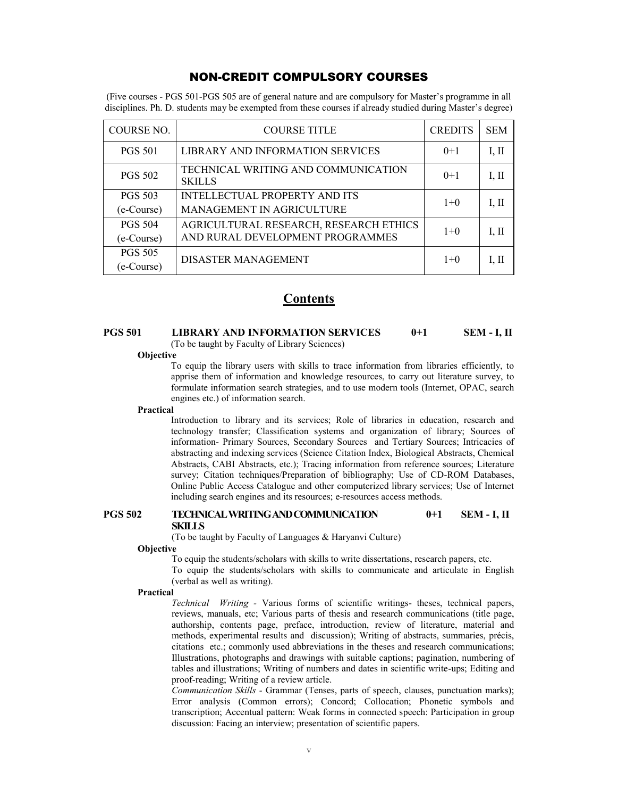# NON-CREDIT COMPULSORY COURSES

(Five courses - PGS 501-PGS 505 are of general nature and are compulsory for Master's programme in all disciplines. Ph. D. students may be exempted from these courses if already studied during Master's degree)

| COURSE NO.     | <b>COURSE TITLE</b>                                                        | <b>CREDITS</b> | <b>SEM</b> |
|----------------|----------------------------------------------------------------------------|----------------|------------|
| <b>PGS 501</b> | LIBRARY AND INFORMATION SERVICES                                           | $0+1$          | I, II      |
| <b>PGS 502</b> | TECHNICAL WRITING AND COMMUNICATION<br><b>SKILLS</b>                       | $0+1$          | I, II      |
| <b>PGS 503</b> | <b>INTELLECTUAL PROPERTY AND ITS</b>                                       | $1+0$          | I, II      |
| (e-Course)     | MANAGEMENT IN AGRICULTURE                                                  |                |            |
| <b>PGS 504</b> | AGRICULTURAL RESEARCH, RESEARCH ETHICS<br>AND RURAL DEVELOPMENT PROGRAMMES | $1+0$          | I, II      |
| (e-Course)     |                                                                            |                |            |
| <b>PGS 505</b> | <b>DISASTER MANAGEMENT</b>                                                 | $1+0$          | I. II      |
| (e-Course)     |                                                                            |                |            |

# **Contents**

# **PGS 501 LIBRARY AND INFORMATION SERVICES 0+1 SEM - I, II**

(To be taught by Faculty of Library Sciences)

# **Objective**

To equip the library users with skills to trace information from libraries efficiently, to apprise them of information and knowledge resources, to carry out literature survey, to formulate information search strategies, and to use modern tools (Internet, OPAC, search engines etc.) of information search.

#### **Practical**

Introduction to library and its services; Role of libraries in education, research and technology transfer; Classification systems and organization of library; Sources of information- Primary Sources, Secondary Sources and Tertiary Sources; Intricacies of abstracting and indexing services (Science Citation Index, Biological Abstracts, Chemical Abstracts, CABI Abstracts, etc.); Tracing information from reference sources; Literature survey; Citation techniques/Preparation of bibliography; Use of CD-ROM Databases, Online Public Access Catalogue and other computerized library services; Use of Internet including search engines and its resources; e-resources access methods.

# **PGS 502 TECHNICAL WRITING AND COMMUNICATION 0+1 SEM - I, II SKILLS**

(To be taught by Faculty of Languages & Haryanvi Culture)

## **Objective**

To equip the students/scholars with skills to write dissertations, research papers, etc. To equip the students/scholars with skills to communicate and articulate in English (verbal as well as writing).

## **Practical**

*Technical Writing -* Various forms of scientific writings- theses, technical papers, reviews, manuals, etc; Various parts of thesis and research communications (title page, authorship, contents page, preface, introduction, review of literature, material and methods, experimental results and discussion); Writing of abstracts, summaries, précis, citations etc.; commonly used abbreviations in the theses and research communications; Illustrations, photographs and drawings with suitable captions; pagination, numbering of tables and illustrations; Writing of numbers and dates in scientific write-ups; Editing and proof-reading; Writing of a review article.

*Communication Skills -* Grammar (Tenses, parts of speech, clauses, punctuation marks); Error analysis (Common errors); Concord; Collocation; Phonetic symbols and transcription; Accentual pattern: Weak forms in connected speech: Participation in group discussion: Facing an interview; presentation of scientific papers.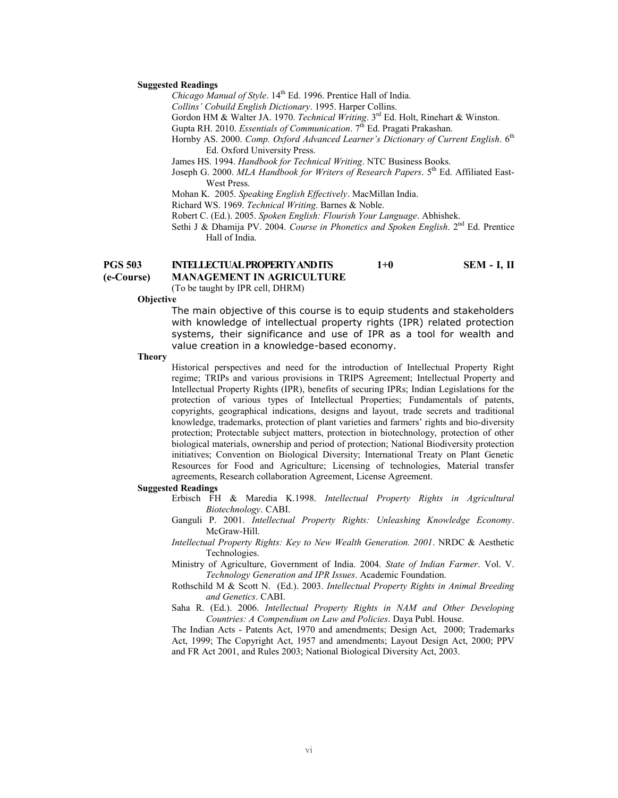### **Suggested Readings**

- *Chicago Manual of Style*. 14<sup>th</sup> Ed. 1996. Prentice Hall of India.
- *Collins' Cobuild English Dictionary*. 1995. Harper Collins.
- Gordon HM & Walter JA. 1970. *Technical Writing*. 3rd Ed. Holt, Rinehart & Winston.
- Gupta RH. 2010. *Essentials of Communication*. 7<sup>th</sup> Ed. Pragati Prakashan.
- Hornby AS. 2000. *Comp. Oxford Advanced Learner's Dictionary of Current English.* 6<sup>th</sup> Ed. Oxford University Press.
- James HS. 1994. *Handbook for Technical Writing*. NTC Business Books.
- Joseph G. 2000. *MLA Handbook for Writers of Research Papers*. 5<sup>th</sup> Ed. Affiliated East-West Press.
- Mohan K. 2005. *Speaking English Effectively*. MacMillan India.

Richard WS. 1969. *Technical Writing*. Barnes & Noble.

- Robert C. (Ed.). 2005. *Spoken English: Flourish Your Language*. Abhishek.
- Sethi J & Dhamija PV. 2004. *Course in Phonetics and Spoken English*. 2<sup>nd</sup> Ed. Prentice Hall of India.

# **PGS 503 INTELLECTUAL PROPERTY AND ITS 1+0 SEM - I, II (e-Course) MANAGEMENT IN AGRICULTURE**

(To be taught by IPR cell, DHRM)

#### **Objective**

The main objective of this course is to equip students and stakeholders with knowledge of intellectual property rights (IPR) related protection systems, their significance and use of IPR as a tool for wealth and value creation in a knowledge-based economy.

**Theory**

Historical perspectives and need for the introduction of Intellectual Property Right regime; TRIPs and various provisions in TRIPS Agreement; Intellectual Property and Intellectual Property Rights (IPR), benefits of securing IPRs; Indian Legislations for the protection of various types of Intellectual Properties; Fundamentals of patents, copyrights, geographical indications, designs and layout, trade secrets and traditional knowledge, trademarks, protection of plant varieties and farmers' rights and bio-diversity protection; Protectable subject matters, protection in biotechnology, protection of other biological materials, ownership and period of protection; National Biodiversity protection initiatives; Convention on Biological Diversity; International Treaty on Plant Genetic Resources for Food and Agriculture; Licensing of technologies, Material transfer agreements, Research collaboration Agreement, License Agreement.

### **Suggested Readings**

- Erbisch FH & Maredia K.1998. *Intellectual Property Rights in Agricultural Biotechnology*. CABI.
- Ganguli P. 2001. *Intellectual Property Rights: Unleashing Knowledge Economy*. McGraw-Hill.
- *Intellectual Property Rights: Key to New Wealth Generation. 2001*. NRDC & Aesthetic Technologies.
- Ministry of Agriculture, Government of India. 2004. *State of Indian Farmer*. Vol. V. *Technology Generation and IPR Issues*. Academic Foundation.
- Rothschild M & Scott N. (Ed.). 2003. *Intellectual Property Rights in Animal Breeding and Genetics*. CABI.
- Saha R. (Ed.). 2006. *Intellectual Property Rights in NAM and Other Developing Countries: A Compendium on Law and Policies*. Daya Publ. House.

The Indian Acts - Patents Act, 1970 and amendments; Design Act, 2000; Trademarks Act, 1999; The Copyright Act, 1957 and amendments; Layout Design Act, 2000; PPV and FR Act 2001, and Rules 2003; National Biological Diversity Act, 2003.